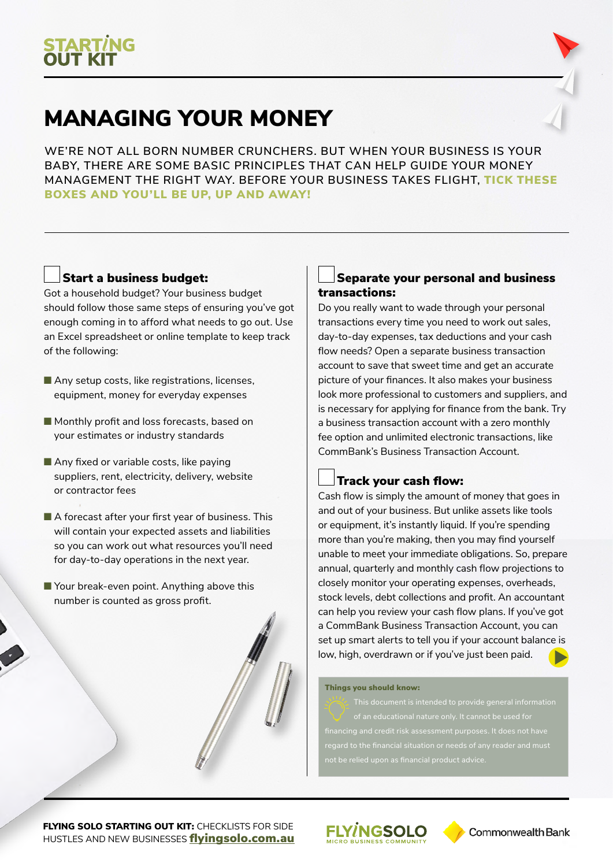

# MANAGING YOUR MONEY

**WE'RE NOT ALL BORN NUMBER CRUNCHERS. BUT WHEN YOUR BUSINESS IS YOUR BABY, THERE ARE SOME BASIC PRINCIPLES THAT CAN HELP GUIDE YOUR MONEY MANAGEMENT THE RIGHT WAY. BEFORE YOUR BUSINESS TAKES FLIGHT,** TICK THESE BOXES AND YOU'LL BE UP, UP AND AWAY!

# Start a business budget:

Got a household budget? Your business budget should follow those same steps of ensuring you've got enough coming in to afford what needs to go out. Use an Excel spreadsheet or online template to keep track of the following:

- $\blacksquare$  Any setup costs, like registrations, licenses, equipment, money for everyday expenses
- Monthly profit and loss forecasts, based on your estimates or industry standards
- $\blacksquare$  Any fixed or variable costs, like paying suppliers, rent, electricity, delivery, website or contractor fees
- $\blacksquare$  A forecast after your first year of business. This will contain your expected assets and liabilities so you can work out what resources you'll need for day-to-day operations in the next year.
- $\blacksquare$  Your break-even point. Anything above this number is counted as gross profit.

### Separate your personal and business transactions:

Do you really want to wade through your personal transactions every time you need to work out sales, day-to-day expenses, tax deductions and your cash flow needs? Open a separate business transaction account to save that sweet time and get an accurate picture of your finances. It also makes your business look more professional to customers and suppliers, and is necessary for applying for finance from the bank. Try a business transaction account with a zero monthly fee option and unlimited electronic transactions, like CommBank's Business Transaction Account.

# Track your cash flow:

Cash flow is simply the amount of money that goes in and out of your business. But unlike assets like tools or equipment, it's instantly liquid. If you're spending more than you're making, then you may find yourself unable to meet your immediate obligations. So, prepare annual, quarterly and monthly cash flow projections to closely monitor your operating expenses, overheads, stock levels, debt collections and profit. An accountant can help you review your cash flow plans. If you've got a CommBank Business Transaction Account, you can set up smart alerts to tell you if your account balance is low, high, overdrawn or if you've just been paid.

#### Things you should know:

**FLYING SOLO STARTING OUT KIT: CHECKLISTS FOR SIDE** HUSTLES AND NEW BUSINESSES fl[yingsolo.com.au](http://flyingsolo.com.au)